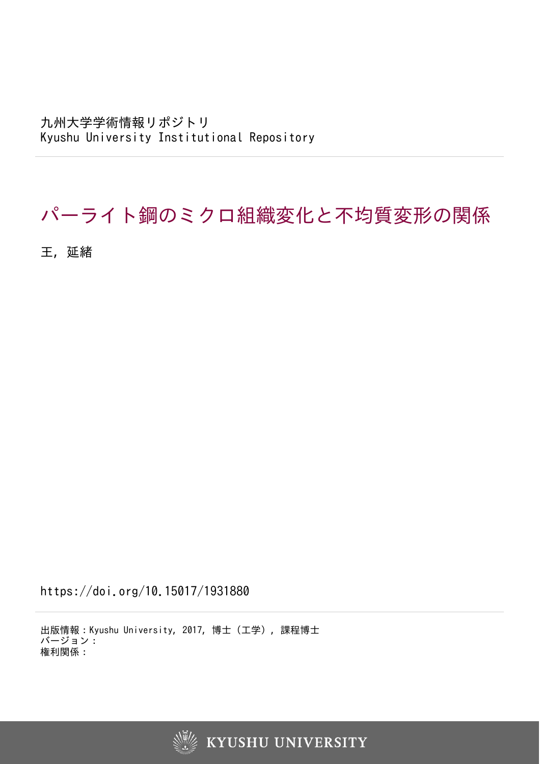九州大学学術情報リポジトリ Kyushu University Institutional Repository

## パーライト鋼のミクロ組織変化と不均質変形の関係

王, 延緒

https://doi.org/10.15017/1931880

出版情報:Kyushu University, 2017, 博士(工学), 課程博士 バージョン: 権利関係: